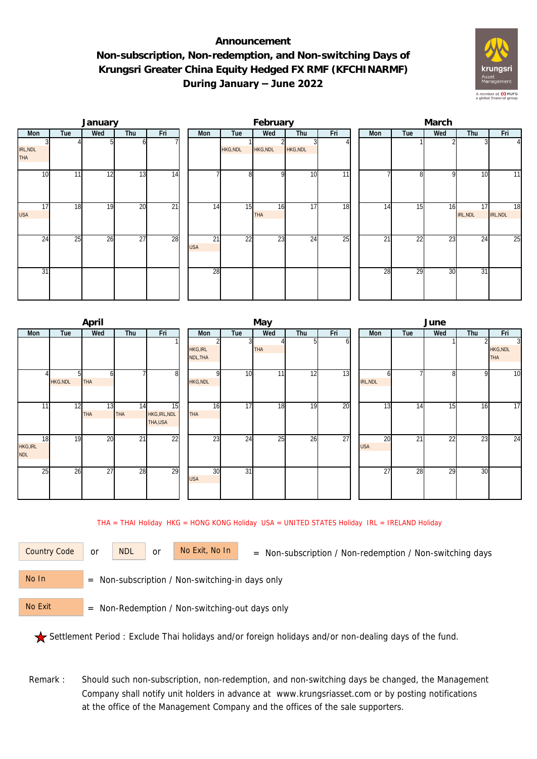## **Announcement Non-subscription, Non-redemption, and Non-switching Days of Krungsri Greater China Equity Hedged FX RMF (KFCHINARMF) During January – June 2022**



|                  |                 | January |                 |                 |                  |          | February         |                 |     | March |                |              |                |                |  |  |
|------------------|-----------------|---------|-----------------|-----------------|------------------|----------|------------------|-----------------|-----|-------|----------------|--------------|----------------|----------------|--|--|
| Mon              | Tue             | Wed     | Thu             | Fri             | Mon              | Tue      | Wed              | Thu             | Fri | Mon   | Tue            | Wed          | Thu            | Fri            |  |  |
| IRL, NDL<br>THA  |                 |         | οı              |                 |                  | HKG, NDL | HKG, NDL         | <b>HKG, NDL</b> |     |       |                |              |                | $\overline{4}$ |  |  |
| 10               | 11              | 12      | 13              | 14              |                  | 8        | $\Omega$         | 10              | 11  |       | $\overline{8}$ | $\mathsf{Q}$ | 10             | 11             |  |  |
| 17<br><b>USA</b> | 18              | 19      | 20              | $\overline{21}$ | 14               | 15       | 16<br><b>THA</b> | 17              | 18  | 14    | 15             | 16           | 17<br>IRL, NDL | 18<br>IRL, NDL |  |  |
| $2\overline{4}$  | $\overline{25}$ | 26      | $\overline{27}$ | 28              | 21<br><b>USA</b> | 22       | 23               | 24              | 25  | 21    | 22             | 23           | 24             | 25             |  |  |
| 31               |                 |         |                 |                 | 28               |          |                  |                 |     | 28    | 29             | 30           | 31             |                |  |  |

|                                     |                       | April            |           |                                |                             |                 | May        |     |     | June             |     |     |     |                             |  |  |
|-------------------------------------|-----------------------|------------------|-----------|--------------------------------|-----------------------------|-----------------|------------|-----|-----|------------------|-----|-----|-----|-----------------------------|--|--|
| Mon                                 | Tue                   | Wed              | Thu       | Fri                            | Mon                         | Tue             | Wed        | Thu | Fri | Mon              | Tue | Wed | Thu | Fri                         |  |  |
|                                     |                       |                  |           |                                | <b>HKG, IRL</b><br>NDL, THA |                 | <b>THA</b> | ы   | οı  |                  |     |     |     | 3<br>HKG, NDL<br><b>THA</b> |  |  |
|                                     | 51<br><b>HKG, NDL</b> | h<br><b>THA</b>  |           | 8                              | HKG, NDL                    | 10              | 11         | 12  | 13  | h<br>IRL, NDL    |     | 8   | 9   | $\overline{10}$             |  |  |
| 11                                  | 12                    | 13<br><b>THA</b> | 14<br>THA | 15<br>HKG, IRL, NDL<br>THA,USA | 16<br><b>THA</b>            | 17              | 18         | 19  | 20  | 13               | 14  | 15  | 16  | $\overline{17}$             |  |  |
| 18<br><b>HKG, IRL</b><br><b>NDL</b> | 19                    | 20               | 21        | 22                             | 23                          | 24              | 25         | 26  | 27  | 20<br><b>USA</b> | 21  | 22  | 23  | 24                          |  |  |
| 25                                  | 26                    | 27               | 28        | 29                             | 30<br><b>USA</b>            | $\overline{31}$ |            |     |     | 27               | 28  | 29  | 30  |                             |  |  |

THA = THAI Holiday HKG = HONG KONG Holiday USA = UNITED STATES Holiday IRL = IRELAND Holiday

or NDL or

Country Code or NDL or No Exit, No In = Non-subscription / Non-redemption / Non-switching days

 = Non-subscription / Non-switching-in days only No In

 = Non-Redemption / Non-switching-out days only No Exit

Settlement Period : Exclude Thai holidays and/or foreign holidays and/or non-dealing days of the fund.

Remark : Should such non-subscription, non-redemption, and non-switching days be changed, the Management Company shall notify unit holders in advance at www.krungsriasset.com or by posting notifications at the office of the Management Company and the offices of the sale supporters.